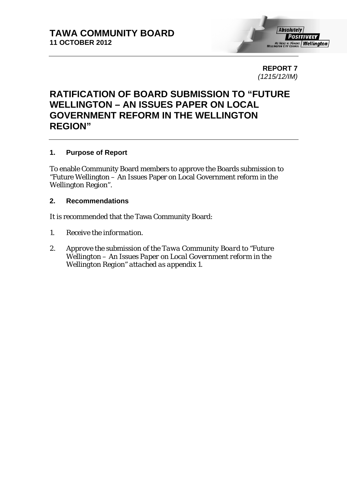

**REPORT 7**  *(1215/12/IM)* 

# **RATIFICATION OF BOARD SUBMISSION TO "FUTURE WELLINGTON – AN ISSUES PAPER ON LOCAL GOVERNMENT REFORM IN THE WELLINGTON REGION"**

## **1. Purpose of Report**

To enable Community Board members to approve the Boards submission to "Future Wellington – An Issues Paper on Local Government reform in the Wellington Region".

#### **2. Recommendations**

It is recommended that the Tawa Community Board:

- *1. Receive the information.*
- *2. Approve the submission of the Tawa Community Board to "Future Wellington – An Issues Paper on Local Government reform in the Wellington Region" attached as appendix 1.*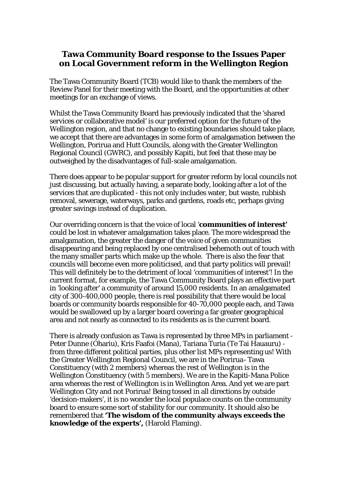# **Tawa Community Board response to the Issues Paper on Local Government reform in the Wellington Region**

The Tawa Community Board (TCB) would like to thank the members of the Review Panel for their meeting with the Board, and the opportunities at other meetings for an exchange of views.

Whilst the Tawa Community Board has previously indicated that the 'shared services or collaborative model' is our preferred option for the future of the Wellington region, and that no change to existing boundaries should take place, we accept that there are advantages in some form of amalgamation between the Wellington, Porirua and Hutt Councils, along with the Greater Wellington Regional Council (GWRC), and possibly Kapiti, but feel that these may be outweighed by the disadvantages of full-scale amalgamation.

There does appear to be popular support for greater reform by local councils not just discussing, but actually having, a separate body, looking after a lot of the services that are duplicated - this not only includes water, but waste, rubbish removal, sewerage, waterways, parks and gardens, roads etc, perhaps giving greater savings instead of duplication.

Our overriding concern is that the voice of local '**communities of interest'** could be lost in whatever amalgamation takes place. The more widespread the amalgamation, the greater the danger of the voice of given communities disappearing and being replaced by one centralised behemoth out of touch with the many smaller parts which make up the whole. There is also the fear that councils will become even more politicised, and that party politics will prevail! This will definitely be to the detriment of local 'communities of interest'! In the current format, for example, the Tawa Community Board plays an effective part in 'looking after' a community of around 15,000 residents. In an amalgamated city of 300-400,000 people, there is real possibility that there would be local boards or community boards responsible for 40-70,000 people each, and Tawa would be swallowed up by a larger board covering a far greater geographical area and not nearly as connected to its residents as is the current board.

There is already confusion as Tawa is represented by three MPs in parliament - Peter Dunne (Ohariu), Kris Faafoi (Mana), Tariana Turia (Te Tai Hauauru) from three different political parties, plus other list MPs representing us! With the Greater Wellington Regional Council, we are in the Porirua–Tawa Constituency (with 2 members) whereas the rest of Wellington is in the Wellington Constituency (with 5 members). We are in the Kapiti-Mana Police area whereas the rest of Wellington is in Wellington Area. And yet we are part Wellington City and not Porirua! Being tossed in all directions by outside 'decision-makers', it is no wonder the local populace counts on the community board to ensure some sort of stability for our community. It should also be remembered that **'The wisdom of the community always exceeds the knowledge of the experts',** (Harold Flaming).